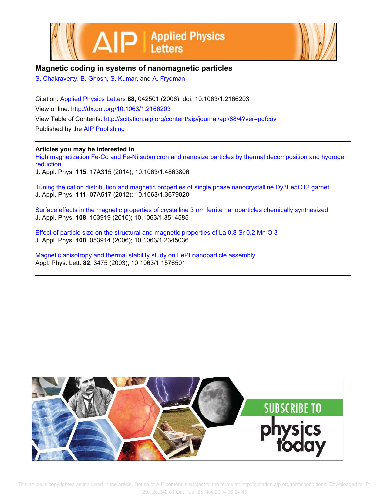



## **Magnetic coding in systems of nanomagnetic particles**

S. Chakraverty, B. Ghosh, S. Kumar, and A. Frydman

Citation: Applied Physics Letters **88**, 042501 (2006); doi: 10.1063/1.2166203 View online: http://dx.doi.org/10.1063/1.2166203 View Table of Contents: http://scitation.aip.org/content/aip/journal/apl/88/4?ver=pdfcov Published by the AIP Publishing

### **Articles you may be interested in**

High magnetization Fe-Co and Fe-Ni submicron and nanosize particles by thermal decomposition and hydrogen reduction

J. Appl. Phys. **115**, 17A315 (2014); 10.1063/1.4863806

Tuning the cation distribution and magnetic properties of single phase nanocrystalline Dy3Fe5O12 garnet J. Appl. Phys. **111**, 07A517 (2012); 10.1063/1.3679020

Surface effects in the magnetic properties of crystalline 3 nm ferrite nanoparticles chemically synthesized J. Appl. Phys. **108**, 103919 (2010); 10.1063/1.3514585

Effect of particle size on the structural and magnetic properties of La 0.8 Sr 0.2 Mn O 3 J. Appl. Phys. **100**, 053914 (2006); 10.1063/1.2345036

Magnetic anisotropy and thermal stability study on FePt nanoparticle assembly Appl. Phys. Lett. **82**, 3475 (2003); 10.1063/1.1576501



 This article is copyrighted as indicated in the article. Reuse of AIP content is subject to the terms at: http://scitation.aip.org/termsconditions. Downloaded to IP: 129.120.242.61 On: Tue, 25 Nov 2014 06:24:45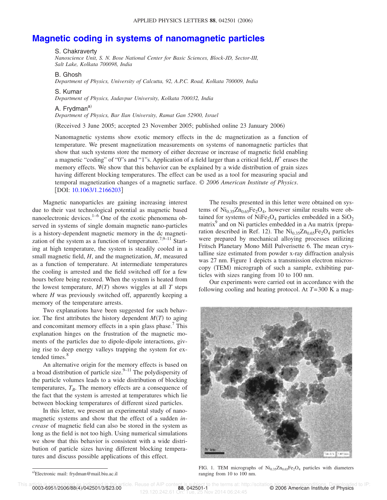# **Magnetic coding in systems of nanomagnetic particles**

#### S. Chakraverty

*Nanoscience Unit, S. N. Bose National Center for Basic Sciences, Block-JD, Sector-III, Salt Lake, Kolkata 700098, India*

#### B. Ghosh

*Department of Physics, University of Calcutta, 92, A.P.C. Road, Kolkata 700009, India*

#### S. Kumar

*Department of Physics, Jadavpur University, Kolkata 700032, India*

### A. Frydman<sup>a)</sup>

*Department of Physics, Bar Ilan University, Ramat Gan 52900, Israel*

Received 3 June 2005; accepted 23 November 2005; published online 23 January 2006-

Nanomagnetic systems show exotic memory effects in the dc magnetization as a function of temperature. We present magnetization measurements on systems of nanomagnetic particles that show that such systems store the memory of either decrease or increase of magnetic field enabling a magnetic "coding" of "0"s and "1"s. Application of a field larger than a critical field,  $H^*$  erases the memory effects. We show that this behavior can be explained by a wide distribution of grain sizes having different blocking temperatures. The effect can be used as a tool for measuring spacial and temporal magnetization changes of a magnetic surface. © *2006 American Institute of Physics*. [DOI: 10.1063/1.2166203]

Magnetic nanoparticles are gaining increasing interest due to their vast technological potential as magnetic based nanoelectronic devices. $1-6$  One of the exotic phenomena observed in systems of single domain magnetic nano-particles is a history-dependent magnetic memory in the dc magnetization of the system as a function of temperature.<sup>7,9–11</sup> Starting at high temperature, the system is steadily cooled in a small magnetic field, *H*, and the magnetization, *M*, measured as a function of temperature. At intermediate temperatures the cooling is arrested and the field switched off for a few hours before being restored. When the system is heated from the lowest temperature,  $M(T)$  shows wiggles at all  $T$  steps where *H* was previously switched off, apparently keeping a memory of the temperature arrests.

Two explanations have been suggested for such behavior. The first attributes the history dependent  $M(T)$  to aging and concomitant memory effects in a spin glass phase.<sup>7</sup> This explanation hinges on the frustration of the magnetic moments of the particles due to dipole-dipole interactions, giving rise to deep energy valleys trapping the system for extended times.<sup>8</sup>

An alternative origin for the memory effects is based on a broad distribution of particle size. $9-11$  The polydispersity of the particle volumes leads to a wide distribution of blocking temperatures,  $T_B$ . The memory effects are a consequence of the fact that the system is arrested at temperatures which lie between blocking temperatures of different sized particles.

In this letter, we present an experimental study of nanomagnetic systems and show that the effect of a sudden *increase* of magnetic field can also be stored in the system as long as the field is not too high. Using numerical simulations we show that this behavior is consistent with a wide distribution of particle sizes having different blocking temperatures and discuss possible applications of this effect.

The results presented in this letter were obtained on systems of  $\text{Ni}_{0.35}\text{Zn}_{0.65}\text{Fe}_2\text{O}_4$ , however similar results were obtained for systems of NiFe<sub>2</sub>O<sub>4</sub> particles embedded in a  $SiO<sub>2</sub>$ matrix<sup>9</sup> and on Ni particles embedded in a Au matrix (preparation described in Ref. 12). The  $\text{Ni}_{0.35}\text{Zn}_{0.65}\text{Fe}_2\text{O}_4$  particles were prepared by mechanical alloying processes utilizing Fritsch Planetary Mono Mill Pulverisette 6. The mean crystalline size estimated from powder x-ray diffraction analysis was 27 nm. Figure 1 depicts a transmission electron microscopy (TEM) micrograph of such a sample, exhibiting particles with sizes ranging from 10 to 100 nm.

Our experiments were carried out in accordance with the following cooling and heating protocol. At *T*=300 K a mag-



FIG. 1. TEM micrographs of  $\text{Ni}_{0.35}\text{Zn}_{0.65}\text{Fe}_2\text{O}_4$  particles with diameters ranging from 10 to 100 nm.

a)<br>Electronic mail: frydman@mail.biu.ac.il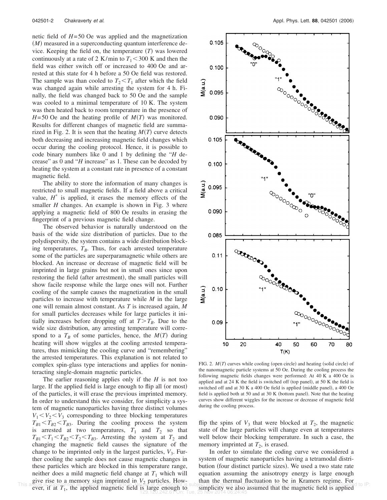netic field of *H*=50 Oe was applied and the magnetization (M) measured in a superconducting quantum interference device. Keeping the field on, the temperature  $(T)$  was lowered continuously at a rate of 2 K/min to  $T_1 < 300$  K and then the field was either switch off or increased to 400 Oe and arrested at this state for 4 h before a 50 Oe field was restored. The sample was than cooled to  $T_2 \leq T_1$  after which the field was changed again while arresting the system for 4 h. Finally, the field was changed back to 50 Oe and the sample was cooled to a minimal temperature of 10 K. The system was then heated back to room temperature in the presence of  $H=50$  Oe and the heating profile of  $M(T)$  was monitored. Results for different changes of magnetic field are summarized in Fig. 2. It is seen that the heating  $M(T)$  curve detects both decreasing and increasing magnetic field changes which occur during the cooling protocol. Hence, it is possible to code binary numbers like 0 and 1 by defining the "*H* decrease" as 0 and "*H* increase" as 1. These can be decoded by heating the system at a constant rate in presence of a constant magnetic field.

The ability to store the information of many changes is restricted to small magnetic fields. If a field above a critical value,  $H^*$  is applied, it erases the memory effects of the smaller *H* changes. An example is shown in Fig. 3 where applying a magnetic field of 800 Oe results in erasing the fingerprint of a previous magnetic field change.

The observed behavior is naturally understood on the basis of the wide size distribution of particles. Due to the polydispersity, the system contains a wide distribution blocking temperatures,  $T_B$ . Thus, for each arrested temperature some of the particles are superparamagnetic while others are blocked. An increase or decrease of magnetic field will be imprinted in large grains but not in small ones since upon restoring the field (after arrestment), the small particles will show facile response while the large ones will not. Further cooling of the sample causes the magnetization in the small particles to increase with temperature while *M* in the large one will remain almost constant. As *T* is increased again, *M* for small particles decreases while for large particles it initially increases before dropping off at  $T > T_B$ . Due to the wide size distribution, any arresting temperature will correspond to a  $T_B$  of some particles, hence, the  $M(T)$  during heating will show wiggles at the cooling arrested temperatures, thus mimicking the cooling curve and "remembering" the arrested temperatures. This explanation is not related to complex spin-glass type interactions and applies for noninteracting single-domain magnetic particles.

The earlier reasoning applies only if the *H* is not too large. If the applied field is large enough to flip all (or most) of the particles, it will erase the previous imprinted memory. In order to understand this we consider, for simplicity a system of magnetic nanoparticles having three distinct volumes  $V_1 < V_2 < V_3$  corresponding to three blocking temperatures  $T_{B1} < T_{B2} < T_{B3}$ . During the cooling process the system is arrested at two temperatures,  $T_1$  and  $T_2$  so that  $T_{B1} < T_1 < T_{B2} < T_2 < T_{B3}$ . Arresting the system at  $T_2$  and changing the magnetic field causes the signature of the change to be imprinted only in the largest particles,  $V_3$ . Further cooling the sample does not cause magnetic changes in these particles which are blocked in this temperature range, neither does a mild magnetic field change at  $T_1$  which will give rise to a memory sign imprinted in  $V_2$  particles. How-<br>This aricle is copyrighted as indicated in the article, Heuse of AIP content is subject to the terms at http://scitation.aip.grg/termsconditions. Cownloaded to



FIG. 2.  $M(T)$  curves while cooling (open circle) and heating (solid circle) of the nanomagnetic particle systems at 50 Oe. During the cooling process the following magnetic fields changes were performed: At 40 K a 400 Oe is applied and at  $24$  K the field is switched off (top panel), at  $50$  K the field is switched off and at 30 K a 400 Oe field is applied (middle panel), a 400 Oe field is applied both at 50 and at 30 K (bottom panel). Note that the heating curves show different wiggles for the increase or decrease of magnetic field during the cooling process.

flip the spins of  $V_3$  that were blocked at  $T_2$ , the magnetic state of the large particles will change even at temperatures well below their blocking temperature. In such a case, the memory imprinted at  $T_2$ , is erased.

In order to simulate the coding curve we considered a system of magnetic nanoparticles having a tetramodal distribution (four distinct particle sizes). We used a two state rate equation assuming the anisotropy energy is large enough than the thermal fluctuation to be in Kramers regime. For simplicity we also assumed that the magnetic field is applied